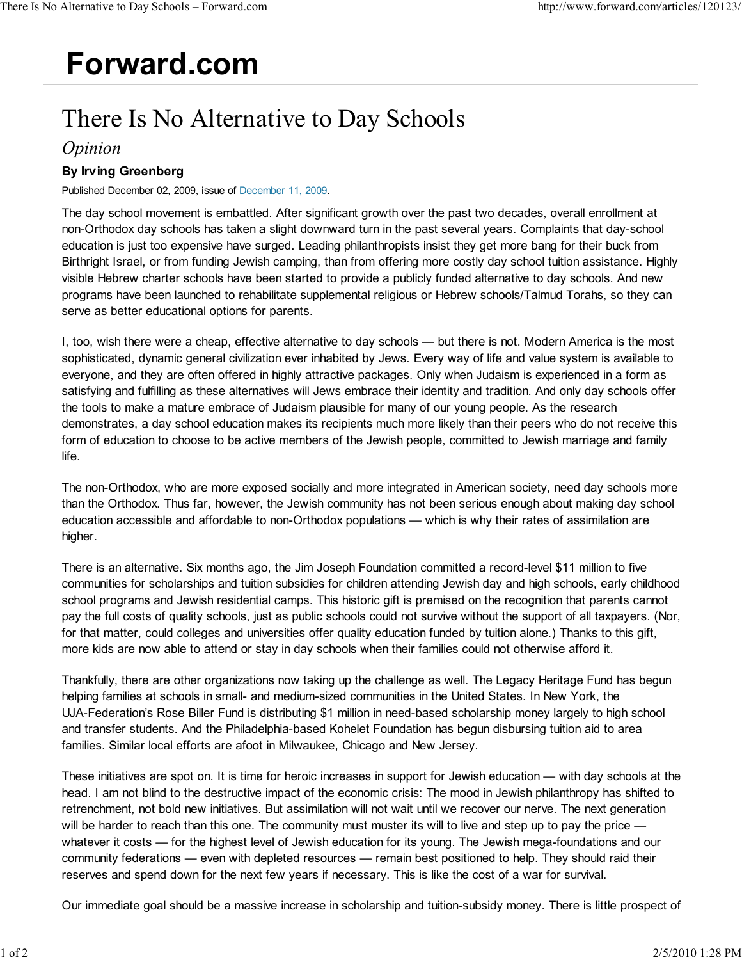## **Forward.com**

## There Is No Alternative to Day Schools

## *Opinion*

## **By Irving Greenberg**

Published December 02, 2009, issue of December 11, 2009.

The day school movement is embattled. After significant growth over the past two decades, overall enrollment at non-Orthodox day schools has taken a slight downward turn in the past several years. Complaints that day-school education is just too expensive have surged. Leading philanthropists insist they get more bang for their buck from Birthright Israel, or from funding Jewish camping, than from offering more costly day school tuition assistance. Highly visible Hebrew charter schools have been started to provide a publicly funded alternative to day schools. And new programs have been launched to rehabilitate supplemental religious or Hebrew schools/Talmud Torahs, so they can serve as better educational options for parents.

I, too, wish there were a cheap, effective alternative to day schools — but there is not. Modern America is the most sophisticated, dynamic general civilization ever inhabited by Jews. Every way of life and value system is available to everyone, and they are often offered in highly attractive packages. Only when Judaism is experienced in a form as satisfying and fulfilling as these alternatives will Jews embrace their identity and tradition. And only day schools offer the tools to make a mature embrace of Judaism plausible for many of our young people. As the research demonstrates, a day school education makes its recipients much more likely than their peers who do not receive this form of education to choose to be active members of the Jewish people, committed to Jewish marriage and family life.

The non-Orthodox, who are more exposed socially and more integrated in American society, need day schools more than the Orthodox. Thus far, however, the Jewish community has not been serious enough about making day school education accessible and affordable to non-Orthodox populations — which is why their rates of assimilation are higher.

There is an alternative. Six months ago, the Jim Joseph Foundation committed a record-level \$11 million to five communities for scholarships and tuition subsidies for children attending Jewish day and high schools, early childhood school programs and Jewish residential camps. This historic gift is premised on the recognition that parents cannot pay the full costs of quality schools, just as public schools could not survive without the support of all taxpayers. (Nor, for that matter, could colleges and universities offer quality education funded by tuition alone.) Thanks to this gift, more kids are now able to attend or stay in day schools when their families could not otherwise afford it.

Thankfully, there are other organizations now taking up the challenge as well. The Legacy Heritage Fund has begun helping families at schools in small- and medium-sized communities in the United States. In New York, the UJA-Federation's Rose Biller Fund is distributing \$1 million in need-based scholarship money largely to high school and transfer students. And the Philadelphia-based Kohelet Foundation has begun disbursing tuition aid to area families. Similar local efforts are afoot in Milwaukee, Chicago and New Jersey.

These initiatives are spot on. It is time for heroic increases in support for Jewish education — with day schools at the head. I am not blind to the destructive impact of the economic crisis: The mood in Jewish philanthropy has shifted to retrenchment, not bold new initiatives. But assimilation will not wait until we recover our nerve. The next generation will be harder to reach than this one. The community must muster its will to live and step up to pay the price whatever it costs — for the highest level of Jewish education for its young. The Jewish mega-foundations and our community federations — even with depleted resources — remain best positioned to help. They should raid their reserves and spend down for the next few years if necessary. This is like the cost of a war for survival.

Our immediate goal should be a massive increase in scholarship and tuition-subsidy money. There is little prospect of